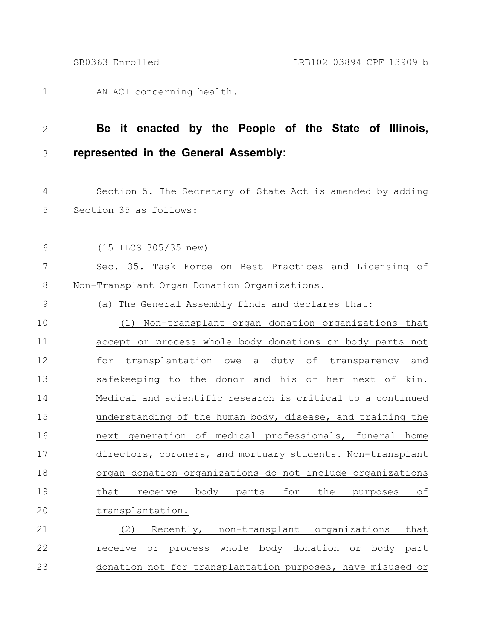AN ACT concerning health. 1

(15 ILCS 305/35 new)

6

## **Be it enacted by the People of the State of Illinois, represented in the General Assembly:** 2 3

Section 5. The Secretary of State Act is amended by adding Section 35 as follows: 4 5

Sec. 35. Task Force on Best Practices and Licensing of Non-Transplant Organ Donation Organizations. 7 8

(a) The General Assembly finds and declares that: 9

(1) Non-transplant organ donation organizations that accept or process whole body donations or body parts not for transplantation owe a duty of transparency and safekeeping to the donor and his or her next of kin. Medical and scientific research is critical to a continued understanding of the human body, disease, and training the next generation of medical professionals, funeral home directors, coroners, and mortuary students. Non-transplant organ donation organizations do not include organizations that receive body parts for the purposes of transplantation. 10 11 12 13 14 15 16 17 18 19 20

(2) Recently, non-transplant organizations that receive or process whole body donation or body part donation not for transplantation purposes, have misused or 21 22 23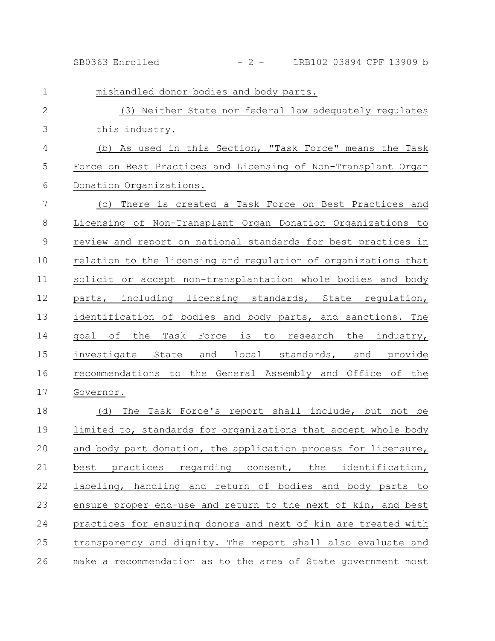SB0363 Enrolled - 2 - LRB102 03894 CPF 13909 b

| $\mathbf{1}$   | mishandled donor bodies and body parts.                        |
|----------------|----------------------------------------------------------------|
| $\mathbf{2}$   | (3) Neither State nor federal law adequately regulates         |
| 3              | this industry.                                                 |
| $\overline{4}$ | (b) As used in this Section, "Task Force" means the Task       |
| 5              | Force on Best Practices and Licensing of Non-Transplant Organ  |
| 6              | Donation Organizations.                                        |
| 7              | (c) There is created a Task Force on Best Practices and        |
| $\,8\,$        | Licensing of Non-Transplant Organ Donation Organizations to    |
| $\mathsf 9$    | review and report on national standards for best practices in  |
| 10             | relation to the licensing and regulation of organizations that |
| 11             | solicit or accept non-transplantation whole bodies and body    |
| 12             | parts, including licensing standards, State regulation,        |
| 13             | identification of bodies and body parts, and sanctions. The    |
| 14             | qoal of<br>Task Force is to research the industry,<br>the      |
| 15             | investigate State and local standards, and provide             |
| 16             | recommendations to the General Assembly and Office of the      |
| 17             | Governor.                                                      |
| 18             | The Task Force's report shall include, but not be<br>(d)       |
| 19             | limited to, standards for organizations that accept whole body |
| 20             | and body part donation, the application process for licensure, |
| 21             | best practices regarding consent, the identification,          |
| 22             | labeling, handling and return of bodies and body parts to      |
| 23             | ensure proper end-use and return to the next of kin, and best  |
| 24             | practices for ensuring donors and next of kin are treated with |
| 25             | transparency and dignity. The report shall also evaluate and   |
| 26             | make a recommendation as to the area of State government most  |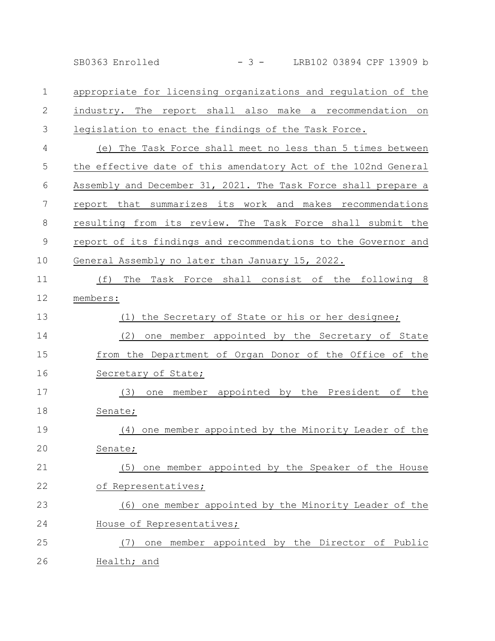SB0363 Enrolled - 3 - LRB102 03894 CPF 13909 b

appropriate for licensing organizations and regulation of the industry. The report shall also make a recommendation on legislation to enact the findings of the Task Force. (e) The Task Force shall meet no less than 5 times between the effective date of this amendatory Act of the 102nd General Assembly and December 31, 2021. The Task Force shall prepare a report that summarizes its work and makes recommendations resulting from its review. The Task Force shall submit the 1 2 3 4 5 6 7 8

report of its findings and recommendations to the Governor and General Assembly no later than January 15, 2022. 9 10

(f) The Task Force shall consist of the following 8 members: 11 12

(1) the Secretary of State or his or her designee; (2) one member appointed by the Secretary of State from the Department of Organ Donor of the Office of the Secretary of State; 13 14 15 16

(3) one member appointed by the President of the Senate; (4) one member appointed by the Minority Leader of the 17 18 19

Senate; (5) one member appointed by the Speaker of the House 20 21

of Representatives; 22

(6) one member appointed by the Minority Leader of the House of Representatives; 23 24

(7) one member appointed by the Director of Public Health; and 25 26